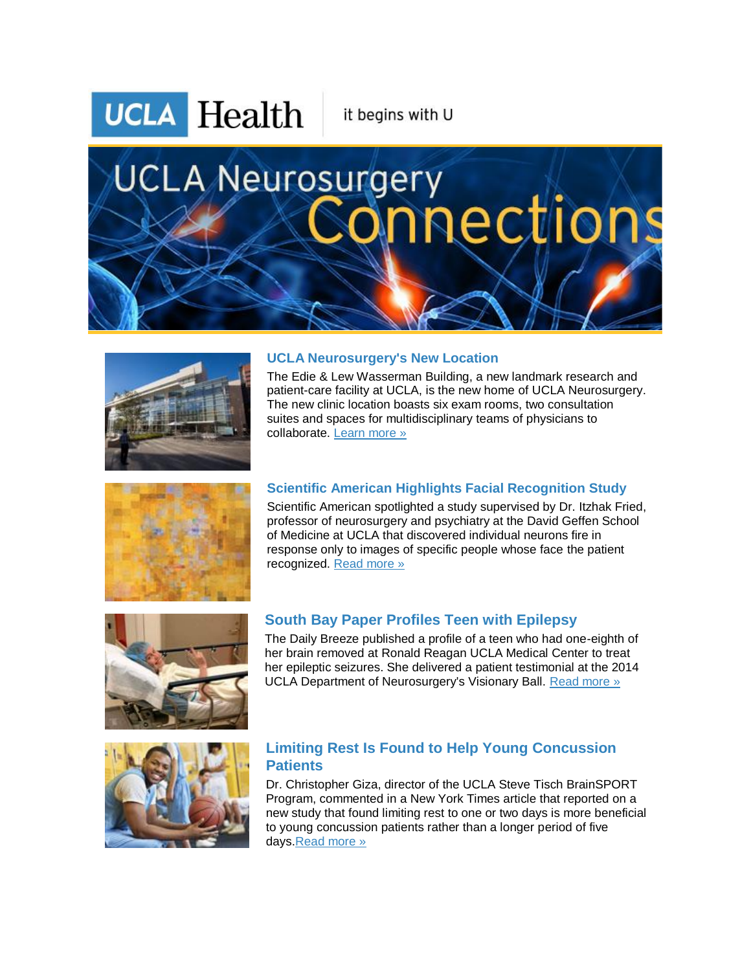**UCLA Health** 

it begins with U

# **UCLA Neurosurgery** nections



### **UCLA Neurosurgery's New Location**

The Edie & Lew Wasserman Building, a new landmark research and patient-care facility at UCLA, is the new home of UCLA Neurosurgery. The new clinic location boasts six exam rooms, two consultation suites and spaces for multidisciplinary teams of physicians to collaborate. [Learn more »](http://r20.rs6.net/tn.jsp?f=001PM1qbcIWAD34Y2VDILy0t1DkTA4Czef8hc-yt2dDw0yBJXV7fI1nDhU1byn8teM8cIkPC_5i25fzVK1VtCWzyLICgRay-xUafKCAgme8aJO0m0uiNZdEzVG0WGUMGrmVwPwFCNz5XuuMXBQz1YB4Jhha9jQ_J4jkLP0hn6nFn-ggE_zp1HUequGpw7LJOGC6cLyjuErmigIc3ylehJMJu1RC_PECoVkmR3Gm081vbn4m272-RI-708iFobcAvbz7lTCdqxGHLDcmQou0r1rCjwsafc1teuDzjcvo1CxMp5-1kbF-q-76UVmZqGIpGOHf4N_1GZDPXzSY-W-7HwZmfoy0gXskianm9knA-7mlo2wpTTG9p7kNP5v1beukIyOcmkrCMd61GTs_Q5-B_Bi4rA==&c=L_Wo7iNXeeRMy5wDi0F_GDB8PxORQgxZd1u04mVfEEAxB8KtNLZpug==&ch=DYlv4MSABaX4SKrToSNbl5m_gUyUrcfa3BXMPouIPQHzhnU12yqHiQ==)



# **Scientific American Highlights Facial Recognition Study**

Scientific American spotlighted a study supervised by Dr. Itzhak Fried, professor of neurosurgery and psychiatry at the David Geffen School of Medicine at UCLA that discovered individual neurons fire in response only to images of specific people whose face the patient recognized. [Read more »](http://r20.rs6.net/tn.jsp?f=001PM1qbcIWAD34Y2VDILy0t1DkTA4Czef8hc-yt2dDw0yBJXV7fI1nDiLeNpzhL7t927mYecjTrWL7hSNiUUBSeY0JjxqFeb_CbSdjbJ96svS1zj-1j8-uOOXACsx7siVHlqPTRUeyMuK_LzruNx7Cmbcko_oROKoPyKpgNSPd6ys5xDjBWhfhMml01yRWWBoykc8PXpMtA6VqN9Gwr8Sb4ySn1iiV0Xt50agrinLj7mkSPkzuDtCj_6V3PC6__aguFfpMb-uuiwA93b7RSnLgxhbCkVSUaybNe-_fE-dRWixLExlu5DmjxLNiYwxEEtNAeywAIZIN__TYIFyvsSeSftFV2EaDXzqSzEhPAPq1cvpNf-NDcYSAXdZlZ4PgejGEFc00HC9fZkRVzp7vHxMJftonarbHvS8uvUE7dPzTv1ij1TWNoHgr1ZC91ZY75s4f&c=L_Wo7iNXeeRMy5wDi0F_GDB8PxORQgxZd1u04mVfEEAxB8KtNLZpug==&ch=DYlv4MSABaX4SKrToSNbl5m_gUyUrcfa3BXMPouIPQHzhnU12yqHiQ==)



# **South Bay Paper Profiles Teen with Epilepsy**

The Daily Breeze published a profile of a teen who had one-eighth of her brain removed at Ronald Reagan UCLA Medical Center to treat her epileptic seizures. She delivered a patient testimonial at the 2014 UCLA Department of Neurosurgery's Visionary Ball. [Read more »](http://r20.rs6.net/tn.jsp?f=001PM1qbcIWAD34Y2VDILy0t1DkTA4Czef8hc-yt2dDw0yBJXV7fI1nDiLeNpzhL7t9k_szcHSGw9iSRDC1d6Pt0_pNcUXWqHw51I6iklqiPZAjCh_0sCddbYuR8s4dlsjld3ViNNfcWtYZxIBduvoLzSd-02Z-5F5LJrgWH0NoZ0GIQLJtY_uFiRmFGSBJXO-zCPWTJdw0tLy_dnP61s8pftzVFGZH8U8wh9YiGcH5k-bZeKZ_HFtnmBh1IbBw7zOJtB_rWxNpPT5MWsz8ZOoKN8ctcQnjEHSUqxNXSqa6augikLWjHMGMf77uZXCJlH3RTD_CjAf_dH3z8ZFtBFjKx1YxvgKykQdvV_ApHbHE3ycPFLWR_MapiNE1QyKNcUjml3Na961-NkWM7UD0FemwCzzL2NKzFhE7iPbDaAO1BOLbu3yWPMxi__TX7png55Zvs4FRZpptf6ctdqoa7gz5aVUAI1Q5qfy3yb5_eDvkboW7yS5f5M-ziQ==&c=L_Wo7iNXeeRMy5wDi0F_GDB8PxORQgxZd1u04mVfEEAxB8KtNLZpug==&ch=DYlv4MSABaX4SKrToSNbl5m_gUyUrcfa3BXMPouIPQHzhnU12yqHiQ==)



## **Limiting Rest Is Found to Help Young Concussion Patients**

Dr. Christopher Giza, director of the UCLA Steve Tisch BrainSPORT Program, commented in a New York Times article that reported on a new study that found limiting rest to one or two days is more beneficial to young concussion patients rather than a longer period of five day[s.Read more »](http://r20.rs6.net/tn.jsp?f=001PM1qbcIWAD34Y2VDILy0t1DkTA4Czef8hc-yt2dDw0yBJXV7fI1nDiLeNpzhL7t9WPP6444_k1Q2e8VqVKhXrXLKnf8qby34OzxCwNbI2AiejEq4tMwmsJLGIf7o2agZwpGg1AGHwXDwzI3OWhQImZQMrGu2VSn-bfVODFHGMvEgLeEKi7_p9gFiXRD-9k7r9MO5u1DGiUYaQ9NmQS-shaVYZqPAVoTx8JoBIF1Qrclrnkg3vzMWNL1NCiLLzW13_fcjO7XBoVrhjRvj8lp3FjqzUwqFYn912oJSX26GA_wr994xAM6YF-dGjxOn6g7NzxvW2Eie9kBsg5FIg9mFBFL3wL_pgr4PVn7UG1EfzaxQE6oNofXkVNJSaSyNUIRHQwJGmRPMeUQCFYm7IOzdxuUVnv4KvsjF6mWyOyziaGtCuEYdNB4b7j5OjTNGXVTNzgWQjloldIUOOBdv1J2SGuqeLWWhm6cP509W-snoHZw=&c=L_Wo7iNXeeRMy5wDi0F_GDB8PxORQgxZd1u04mVfEEAxB8KtNLZpug==&ch=DYlv4MSABaX4SKrToSNbl5m_gUyUrcfa3BXMPouIPQHzhnU12yqHiQ==)